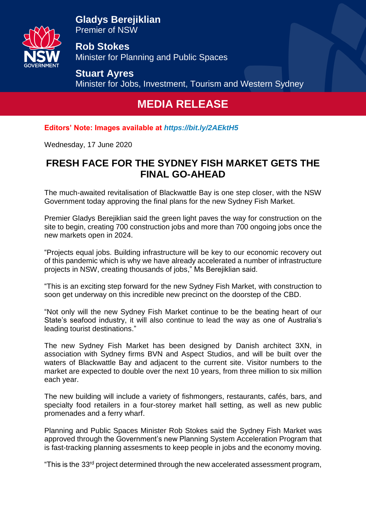

**Gladys Berejiklian** Premier of NSW

**Rob Stokes** Minister for Planning and Public Spaces

**Stuart Ayres** Minister for Jobs, Investment, Tourism and Western Sydney

## **MEDIA RELEASE**

**Editors' Note: Images available at** *<https://bit.ly/2AEktH5>*

Wednesday, 17 June 2020

## **FRESH FACE FOR THE SYDNEY FISH MARKET GETS THE FINAL GO-AHEAD**

The much-awaited revitalisation of Blackwattle Bay is one step closer, with the NSW Government today approving the final plans for the new Sydney Fish Market.

Premier Gladys Berejiklian said the green light paves the way for construction on the site to begin, creating 700 construction jobs and more than 700 ongoing jobs once the new markets open in 2024.

"Projects equal jobs. Building infrastructure will be key to our economic recovery out of this pandemic which is why we have already accelerated a number of infrastructure projects in NSW, creating thousands of jobs," Ms Berejiklian said.

"This is an exciting step forward for the new Sydney Fish Market, with construction to soon get underway on this incredible new precinct on the doorstep of the CBD.

"Not only will the new Sydney Fish Market continue to be the beating heart of our State's seafood industry, it will also continue to lead the way as one of Australia's leading tourist destinations."

The new Sydney Fish Market has been designed by Danish architect 3XN, in association with Sydney firms BVN and Aspect Studios, and will be built over the waters of Blackwattle Bay and adjacent to the current site. Visitor numbers to the market are expected to double over the next 10 years, from three million to six million each year.

The new building will include a variety of fishmongers, restaurants, cafés, bars, and specialty food retailers in a four-storey market hall setting, as well as new public promenades and a ferry wharf.

Planning and Public Spaces Minister Rob Stokes said the Sydney Fish Market was approved through the Government's new Planning System Acceleration Program that is fast-tracking planning assesments to keep people in jobs and the economy moving.

"This is the 33rd project determined through the new accelerated assessment program,